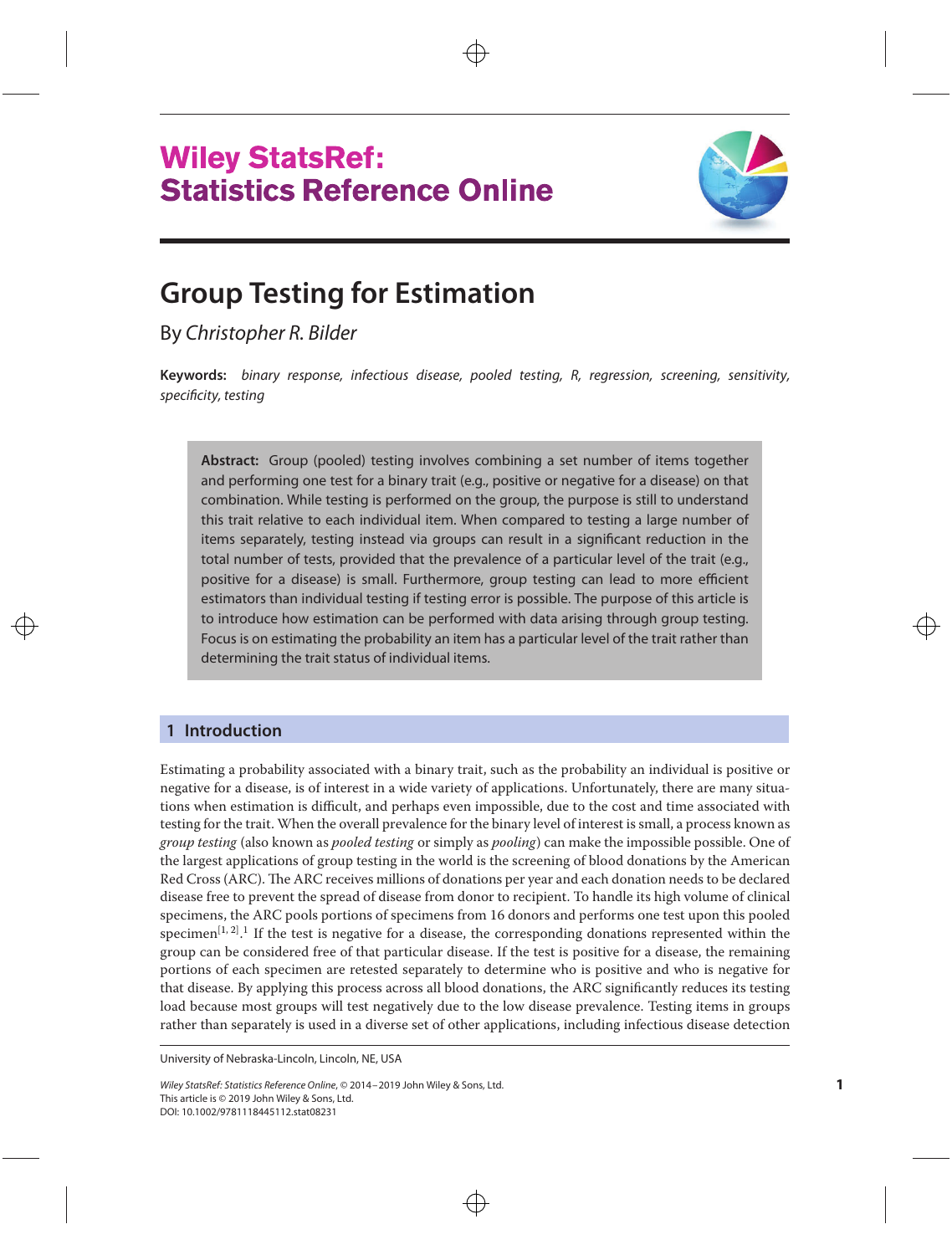



# **Group Testing for Estimation**

By Christopher R. Bilder

**Keywords:** binary response, infectious disease, pooled testing, R, regression, screening, sensitivity, specificity, testing

**Abstract:** Group (pooled) testing involves combining a set number of items together and performing one test for a binary trait (e.g., positive or negative for a disease) on that combination. While testing is performed on the group, the purpose is still to understand this trait relative to each individual item. When compared to testing a large number of items separately, testing instead via groups can result in a significant reduction in the total number of tests, provided that the prevalence of a particular level of the trait (e.g., positive for a disease) is small. Furthermore, group testing can lead to more efficient estimators than individual testing if testing error is possible. The purpose of this article is to introduce how estimation can be performed with data arising through group testing. Focus is on estimating the probability an item has a particular level of the trait rather than determining the trait status of individual items.

# **1 Introduction**

Estimating a probability associated with a binary trait, such as the probability an individual is positive or negative for a disease, is of interest in a wide variety of applications. Unfortunately, there are many situations when estimation is difficult, and perhaps even impossible, due to the cost and time associated with testing for the trait. When the overall prevalence for the binary level of interest is small, a process known as *group testing* (also known as *pooled testing* or simply as *pooling*) can make the impossible possible. One of the largest applications of group testing in the world is the screening of blood donations by the American Red Cross (ARC). The ARC receives millions of donations per year and each donation needs to be declared disease free to prevent the spread of disease from donor to recipient. To handle its high volume of clinical specimens, the ARC pools portions of specimens from 16 donors and performs one test upon this pooled specimen<sup>[\[1,](#page-9-0) [2\]](#page-9-0)</sup>.<sup>1</sup> If the test is negative for a disease, the corresponding donations represented within the group can be considered free of that particular disease. If the test is positive for a disease, the remaining portions of each specimen are retested separately to determine who is positive and who is negative for that disease. By applying this process across all blood donations, the ARC significantly reduces its testing load because most groups will test negatively due to the low disease prevalence. Testing items in groups rather than separately is used in a diverse set of other applications, including infectious disease detection

University of Nebraska-Lincoln, Lincoln, NE, USA

Wiley StatsRef: Statistics Reference Online, © 2014–2019 John Wiley & Sons, Ltd. This article is © 2019 John Wiley & Sons, Ltd. DOI: 10.1002/9781118445112.stat08231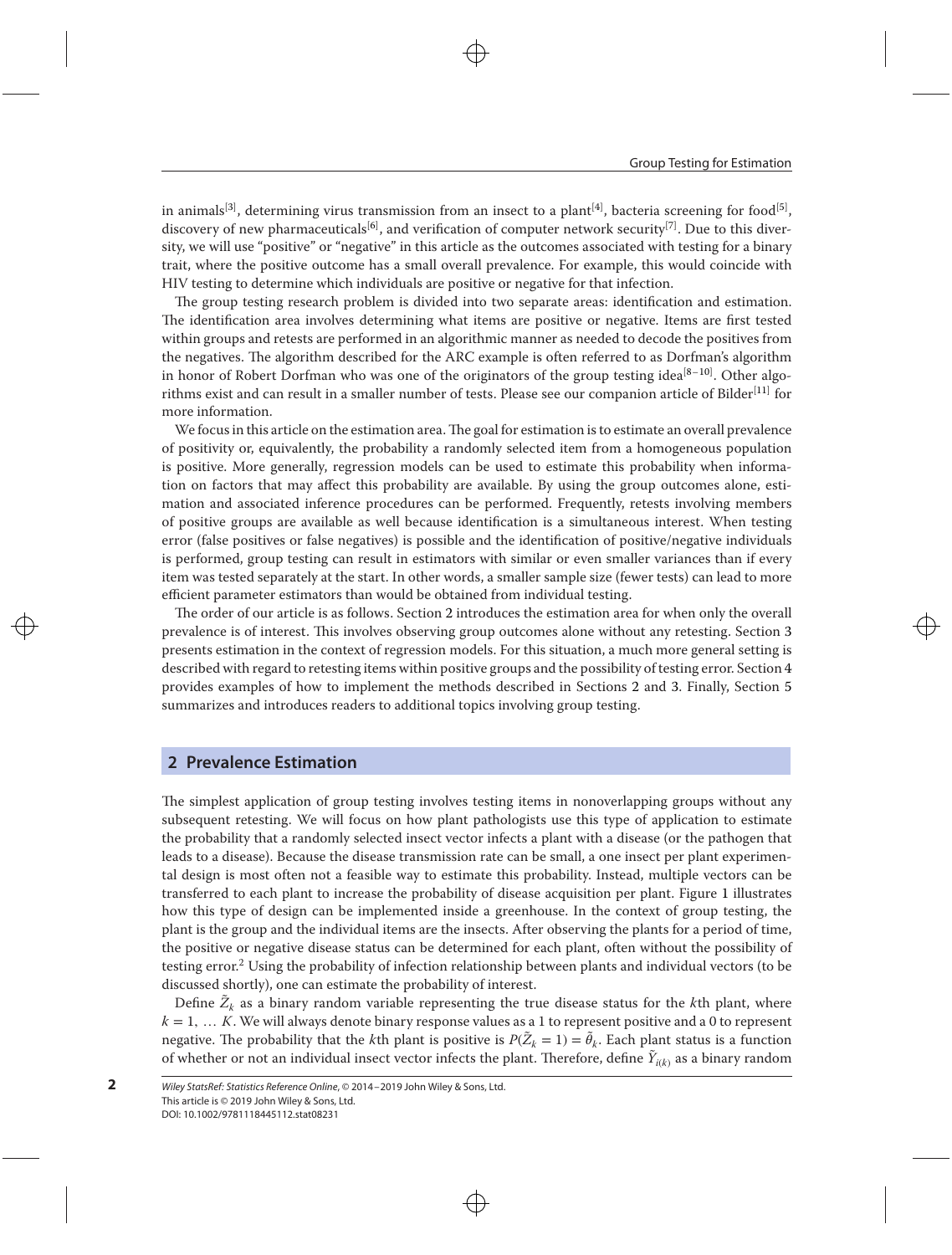in animals<sup>[\[3\]](#page-9-0)</sup>, determining virus transmission from an insect to a plant<sup>[\[4\]](#page-9-0)</sup>, bacteria screening for food<sup>[\[5\]](#page-9-0)</sup>, discovery of new pharmaceuticals<sup>[\[6\]](#page-9-0)</sup>, and verification of computer network security<sup>[\[7\]](#page-9-0)</sup>. Due to this diversity, we will use "positive" or "negative" in this article as the outcomes associated with testing for a binary trait, where the positive outcome has a small overall prevalence. For example, this would coincide with HIV testing to determine which individuals are positive or negative for that infection.

The group testing research problem is divided into two separate areas: identification and estimation. The identification area involves determining what items are positive or negative. Items are first tested within groups and retests are performed in an algorithmic manner as needed to decode the positives from the negatives. The algorithm described for the ARC example is often referred to as Dorfman's algorithm in honor of Robert Dorfman who was one of the originators of the group testing idea<sup>[\[8–10\]](#page-9-0)</sup>. Other algo-rithms exist and can result in a smaller number of tests. Please see our companion article of Bilder<sup>[\[11\]](#page-9-0)</sup> for more information.

We focus in this article on the estimation area. The goal for estimation is to estimate an overall prevalence of positivity or, equivalently, the probability a randomly selected item from a homogeneous population is positive. More generally, regression models can be used to estimate this probability when information on factors that may affect this probability are available. By using the group outcomes alone, estimation and associated inference procedures can be performed. Frequently, retests involving members of positive groups are available as well because identification is a simultaneous interest. When testing error (false positives or false negatives) is possible and the identification of positive/negative individuals is performed, group testing can result in estimators with similar or even smaller variances than if every item was tested separately at the start. In other words, a smaller sample size (fewer tests) can lead to more efficient parameter estimators than would be obtained from individual testing.

The order of our article is as follows. Section [2](#page-1-0) introduces the estimation area for when only the overall prevalence is of interest. This involves observing group outcomes alone without any retesting. Section [3](#page-3-0) presents estimation in the context of regression models. For this situation, a much more general setting is described with regard to retesting items within positive groups and the possibility of testing error. Section [4](#page-5-0) provides examples of how to implement the methods described in Sections [2](#page-1-0) and [3.](#page-3-0) Finally, Section [5](#page-8-0) summarizes and introduces readers to additional topics involving group testing.

#### <span id="page-1-0"></span>**2 Prevalence Estimation**

The simplest application of group testing involves testing items in nonoverlapping groups without any subsequent retesting. We will focus on how plant pathologists use this type of application to estimate the probability that a randomly selected insect vector infects a plant with a disease (or the pathogen that leads to a disease). Because the disease transmission rate can be small, a one insect per plant experimental design is most often not a feasible way to estimate this probability. Instead, multiple vectors can be transferred to each plant to increase the probability of disease acquisition per plant. Figure [1](#page-2-0) illustrates how this type of design can be implemented inside a greenhouse. In the context of group testing, the plant is the group and the individual items are the insects. After observing the plants for a period of time, the positive or negative disease status can be determined for each plant, often without the possibility of testing error.<sup>2</sup> Using the probability of infection relationship between plants and individual vectors (to be discussed shortly), one can estimate the probability of interest.

Define  $\tilde{Z}_k$  as a binary random variable representing the true disease status for the *k*th plant, where *k* = 1*,* … *K*. We will always denote binary response values as a 1 to represent positive and a 0 to represent negative. The probability that the *k*th plant is positive is  $P(\tilde{Z}_k = 1) = \tilde{\theta}_k$ . Each plant status is a function of whether or not an individual insect vector infects the plant. Therefore, define  $\tilde{Y}_{i(k)}$  as a binary random

**2**

Wiley StatsRef: Statistics Reference Online, © 2014–2019 John Wiley & Sons, Ltd. This article is © 2019 John Wiley & Sons, Ltd. DOI: 10.1002/9781118445112.stat08231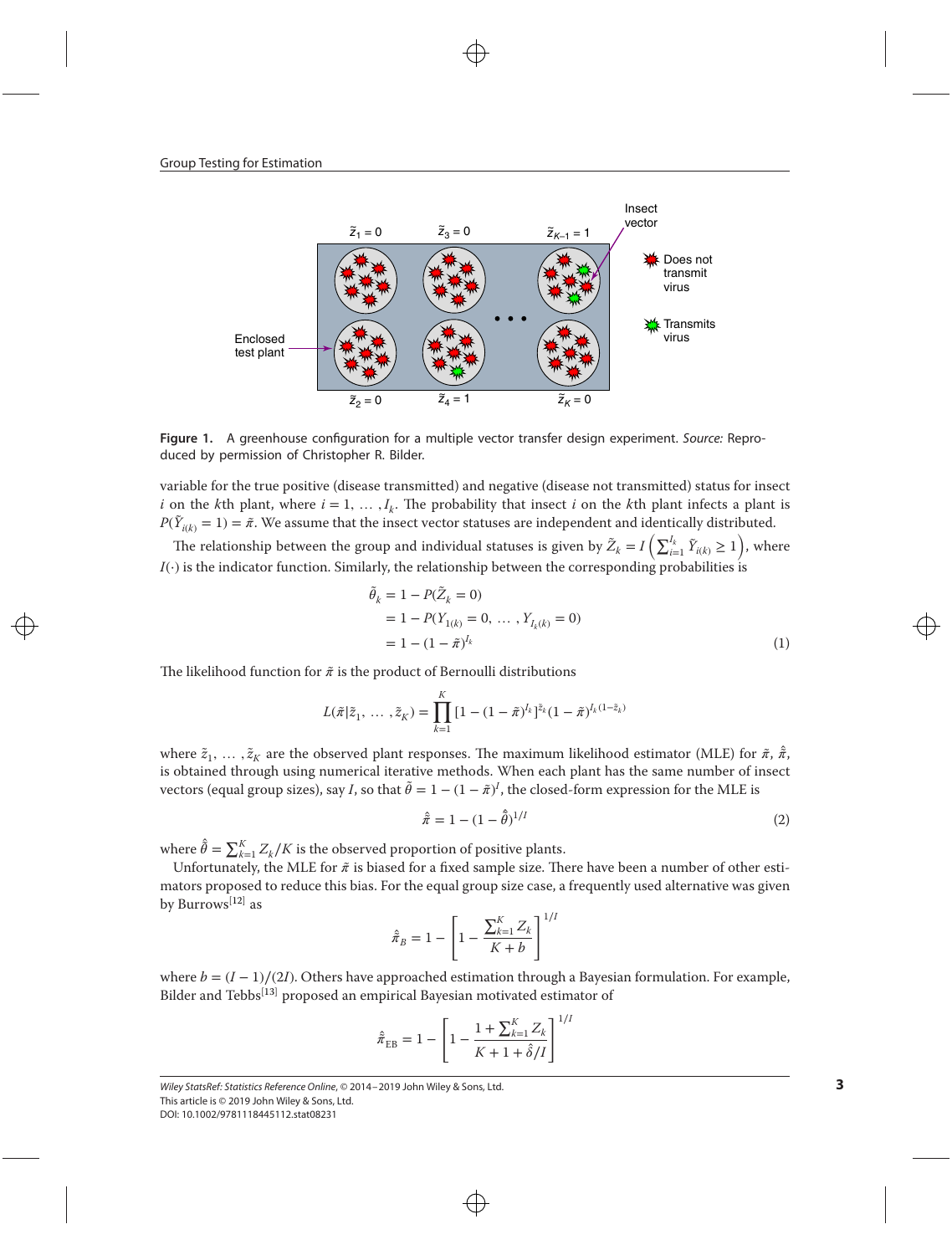<span id="page-2-0"></span>

Figure 1. A greenhouse configuration for a multiple vector transfer design experiment. Source: Reproduced by permission of Christopher R. Bilder.

variable for the true positive (disease transmitted) and negative (disease not transmitted) status for insect *i* on the *k*th plant, where  $i = 1, \ldots, I_k$ . The probability that insect *i* on the *k*th plant infects a plant is  $P(\tilde{Y}_{i(k)} = 1) = \tilde{\pi}$ . We assume that the insect vector statuses are independent and identically distributed.

The relationship between the group and individual statuses is given by  $\tilde{Z}_k = I\left(\sum_{i=1}^{I_k} \tilde{Y}_{i(k)} \ge 1\right)$ , where *I*(⋅) is the indicator function. Similarly, the relationship between the corresponding probabilities is

$$
\tilde{\theta}_k = 1 - P(\tilde{Z}_k = 0) \n= 1 - P(Y_{1(k)} = 0, \dots, Y_{I_k(k)} = 0) \n= 1 - (1 - \tilde{\pi})^{I_k}
$$
\n(1)

The likelihood function for  $\tilde{\pi}$  is the product of Bernoulli distributions

$$
L(\tilde{\pi}|\tilde{z}_1, \ldots, \tilde{z}_K) = \prod_{k=1}^K \left[1 - (1 - \tilde{\pi})^{I_k}\right]^{\tilde{z}_k} (1 - \tilde{\pi})^{I_k(1 - \tilde{z}_k)}
$$

where  $\tilde{z}_1, \ldots, \tilde{z}_K$  are the observed plant responses. The maximum likelihood estimator (MLE) for  $\tilde{\pi}, \hat{\pi}$ , is obtained through using numerical iterative methods. When each plant has the same number of insect vectors (equal group sizes), say *I*, so that  $\tilde{\theta} = 1 - (1 - \tilde{\pi})^I$ , the closed-form expression for the MLE is

<span id="page-2-1"></span>
$$
\hat{\bar{\pi}} = 1 - (1 - \hat{\bar{\theta}})^{1/I} \tag{2}
$$

where  $\hat{\hat{\theta}} = \sum_{k=1}^{K} Z_k/K$  is the observed proportion of positive plants.

Unfortunately, the MLE for  $\tilde{\pi}$  is biased for a fixed sample size. There have been a number of other estimators proposed to reduce this bias. For the equal group size case, a frequently used alternative was given by Burrows<sup>[\[12\]](#page-9-0)</sup> as

$$
\hat{\pi}_B = 1 - \left[1 - \frac{\sum_{k=1}^{K} Z_k}{K + b}\right]^{1/l}
$$

where  $b = (I - 1)/(2I)$ . Others have approached estimation through a Bayesian formulation. For example, Bilder and Tebbs<sup>[\[13\]](#page-9-0)</sup> proposed an empirical Bayesian motivated estimator of

$$
\hat{\pi}_{EB} = 1 - \left[ 1 - \frac{1 + \sum_{k=1}^{K} Z_k}{K + 1 + \hat{\delta}/I} \right]^{1/I}
$$

Wiley StatsRef: Statistics Reference Online, © 2014–2019 John Wiley & Sons, Ltd. This article is © 2019 John Wiley & Sons, Ltd.

DOI: 10.1002/9781118445112.stat08231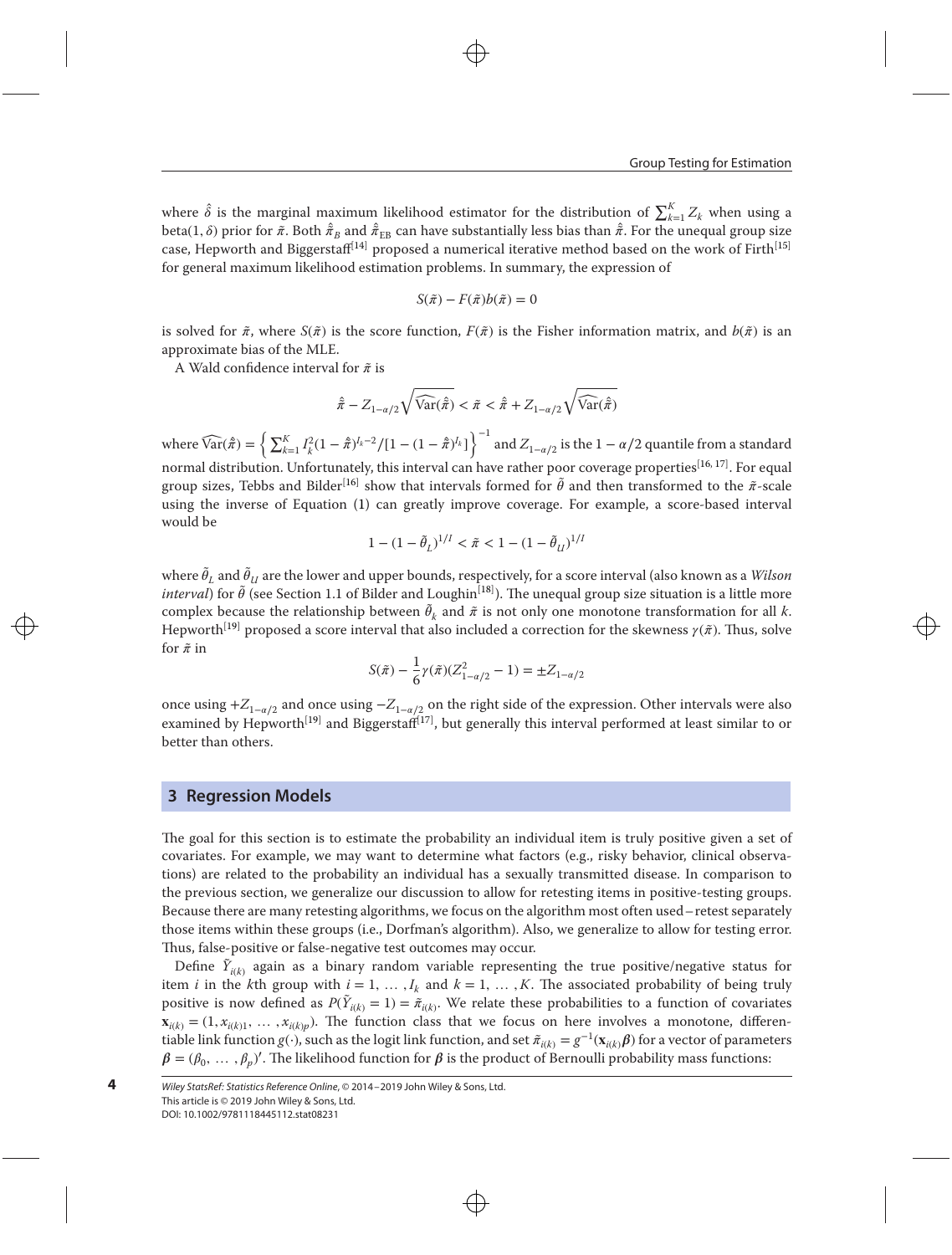where  $\hat{\delta}$  is the marginal maximum likelihood estimator for the distribution of  $\sum_{k=1}^{K} Z_k$  when using a beta(1,  $\delta$ ) prior for  $\tilde{\pi}$ . Both  $\hat{\tilde{\pi}}_B$  and  $\hat{\tilde{\pi}}_{EB}$  can have substantially less bias than  $\hat{\tilde{\pi}}$ . For the unequal group size case, Hepworth and Biggerstaff<sup>[\[14\]](#page-9-0)</sup> proposed a numerical iterative method based on the work of Firth<sup>[\[15\]](#page-9-0)</sup> for general maximum likelihood estimation problems. In summary, the expression of

$$
S(\tilde{\pi}) - F(\tilde{\pi})b(\tilde{\pi}) = 0
$$

is solved for  $\tilde{\pi}$ , where  $S(\tilde{\pi})$  is the score function,  $F(\tilde{\pi})$  is the Fisher information matrix, and  $b(\tilde{\pi})$  is an approximate bias of the MLE.

A Wald confidence interval for *̃* is

$$
\hat{\pi} - Z_{1-\alpha/2} \sqrt{\widehat{\text{Var}}(\hat{\pi})} < \tilde{\pi} < \hat{\pi} + Z_{1-\alpha/2} \sqrt{\widehat{\text{Var}}(\hat{\pi})}
$$

where  $\widehat{\text{Var}}(\hat{\bar{\pi}}) = \left\{ \sum_{k=1}^K I_k^2 (1-\hat{\bar{\pi}})^{I_k-2}/[1-(1-\hat{\bar{\pi}})^{I_k}] \right\}^{-1}$  and  $Z_{1-\alpha/2}$  is the  $1-\alpha/2$  quantile from a standard normal distribution. Unfortunately, this interval can have rather poor coverage properties<sup>[\[16,](#page-9-0) [17\]](#page-9-0)</sup>. For equal group sizes, Tebbs and Bilder<sup>[\[16\]](#page-9-0)</sup> show that intervals formed for  $\tilde{\theta}$  and then transformed to the  $\tilde{\pi}$ -scale using the inverse of Equation [\(1\)](#page-2-1) can greatly improve coverage. For example, a score-based interval would be

$$
1 - (1 - \tilde{\theta}_L)^{1/I} < \tilde{\pi} < 1 - (1 - \tilde{\theta}_U)^{1/I}
$$

where  $\tilde{\theta}_L$  and  $\tilde{\theta}_U$  are the lower and upper bounds, respectively, for a score interval (also known as a *Wilson*  $\emph{interval}$ ) for  $\tilde{\theta}$  (see Section 1.1 of Bilder and Loughin<sup>[\[18\]](#page-9-0)</sup>). The unequal group size situation is a little more complex because the relationship between  $\tilde{\theta}_k$  and  $\tilde{\pi}$  is not only one monotone transformation for all *k*. Hepworth<sup>[\[19\]](#page-9-0)</sup> proposed a score interval that also included a correction for the skewness  $\gamma(\tilde{x})$ . Thus, solve for  $\tilde{\pi}$  in

$$
S(\tilde{\pi}) - \frac{1}{6}\gamma(\tilde{\pi})(Z_{1-\alpha/2}^2 - 1) = \pm Z_{1-\alpha/2}
$$

once using  $+Z_{1-\alpha/2}$  and once using  $-Z_{1-\alpha/2}$  on the right side of the expression. Other intervals were also examined by Hepworth<sup>[\[19\]](#page-9-0)</sup> and Biggerstaff<sup>[\[17\]](#page-9-0)</sup>, but generally this interval performed at least similar to or better than others.

## <span id="page-3-0"></span>**3 Regression Models**

**4**

The goal for this section is to estimate the probability an individual item is truly positive given a set of covariates. For example, we may want to determine what factors (e.g., risky behavior, clinical observations) are related to the probability an individual has a sexually transmitted disease. In comparison to the previous section, we generalize our discussion to allow for retesting items in positive-testing groups. Because there are many retesting algorithms, we focus on the algorithm most often used–retest separately those items within these groups (i.e., Dorfman's algorithm). Also, we generalize to allow for testing error. Thus, false-positive or false-negative test outcomes may occur.

Define  $\tilde{Y}_{i(k)}$  again as a binary random variable representing the true positive/negative status for item *i* in the *k*th group with  $i = 1, \ldots, I_k$  and  $k = 1, \ldots, K$ . The associated probability of being truly positive is now defined as  $P(\tilde{Y}_{i(k)} = 1) = \tilde{\pi}_{i(k)}$ . We relate these probabilities to a function of covariates  $\mathbf{x}_{i(k)} = (1, x_{i(k)1}, \dots, x_{i(k)p})$ . The function class that we focus on here involves a monotone, differentiable link function *g*(⋅), such as the logit link function, and set  $\tilde{\pi}_{i(k)} = g^{-1}(\mathbf{x}_{i(k)}\boldsymbol{\beta})$  for a vector of parameters  $\beta = (\beta_0, \ldots, \beta_p)'$ . The likelihood function for  $\beta$  is the product of Bernoulli probability mass functions:

Wiley StatsRef: Statistics Reference Online, © 2014–2019 John Wiley & Sons, Ltd. This article is © 2019 John Wiley & Sons, Ltd. DOI: 10.1002/9781118445112.stat08231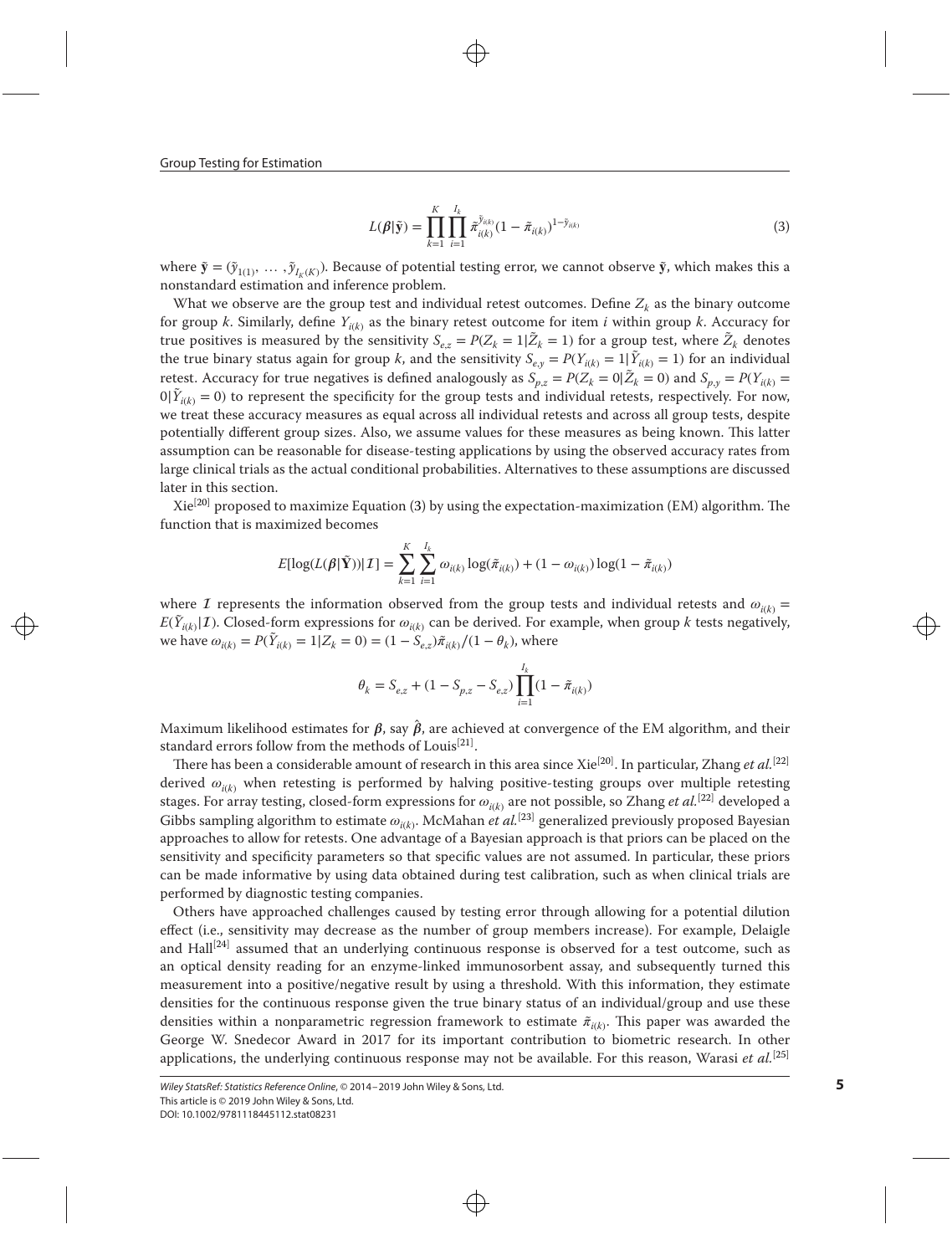Group Testing for Estimation

<span id="page-4-0"></span>
$$
L(\beta|\tilde{\mathbf{y}}) = \prod_{k=1}^{K} \prod_{i=1}^{I_k} \tilde{\pi}_{i(k)}^{\tilde{y}_{i(k)}} (1 - \tilde{\pi}_{i(k)})^{1 - \tilde{y}_{i(k)}}
$$
(3)

where  $\tilde{\mathbf{y}} = (\tilde{y}_{1(1)}, \dots, \tilde{y}_{I_k(K)})$ . Because of potential testing error, we cannot observe  $\tilde{\mathbf{y}}$ , which makes this a nonstandard estimation and inference problem.

What we observe are the group test and individual retest outcomes. Define  $Z_k$  as the binary outcome for group *k*. Similarly, define  $Y_{i(k)}$  as the binary retest outcome for item *i* within group *k*. Accuracy for true positives is measured by the sensitivity  $S_{e,z} = P(Z_k = 1 | \tilde{Z}_k = 1)$  for a group test, where  $\tilde{Z}_k$  denotes the true binary status again for group *k*, and the sensitivity  $S_{e,y} = P(Y_{i(k)} = 1 | \tilde{Y}_{i(k)} = 1)$  for an individual retest. Accuracy for true negatives is defined analogously as  $S_{p,z} = P(Z_k = 0 | \tilde{Z}_k = 0)$  and  $S_{p,y} = P(Y_{i(k)} = 0 | \tilde{Y}_k = 0)$  to a propose the propose of the family function of the latter proposed to be proposed to be propos  $0|\tilde{Y}_{i(k)} = 0$  to represent the specificity for the group tests and individual retests, respectively. For now, we treat these accuracy measures as equal across all individual retests and across all group tests, despite potentially different group sizes. Also, we assume values for these measures as being known. This latter assumption can be reasonable for disease-testing applications by using the observed accuracy rates from large clinical trials as the actual conditional probabilities. Alternatives to these assumptions are discussed later in this section.

 $Xie^{[20]}$  $Xie^{[20]}$  $Xie^{[20]}$  proposed to maximize Equation [\(3\)](#page-4-0) by using the expectation-maximization (EM) algorithm. The function that is maximized becomes

$$
E[\log(L(\beta|\tilde{\mathbf{Y}}))|\mathcal{I}] = \sum_{k=1}^{K} \sum_{i=1}^{I_k} \omega_{i(k)} \log(\tilde{\pi}_{i(k)}) + (1 - \omega_{i(k)}) \log(1 - \tilde{\pi}_{i(k)})
$$

where I represents the information observed from the group tests and individual retests and  $\omega_{i(k)} =$  $E(\tilde{Y}_{i(k)}|\mathcal{I})$ . Closed-form expressions for  $\omega_{i(k)}$  can be derived. For example, when group *k* tests negatively, we have  $\omega_{i(k)} = P(\tilde{Y}_{i(k)} = 1 | Z_k = 0) = (1 - \tilde{S}_{e,z})\tilde{\pi}_{i(k)}/(1 - \theta_k)$ , where

$$
\theta_k = S_{e,z} + (1 - S_{p,z} - S_{e,z}) \prod_{i=1}^{I_k} (1 - \tilde{\pi}_{i(k)})
$$

Maximum likelihood estimates for  $\beta$ , say  $\hat{\beta}$ , are achieved at convergence of the EM algorithm, and their standard errors follow from the methods of Louis<sup>[\[21\]](#page-9-0)</sup>.

There has been a considerable amount of research in this area since Xie<sup>[\[20\]](#page-9-0)</sup>. In particular, Zhang *et al*.<sup>[\[22\]](#page-9-0)</sup> derived  $\omega_{i(k)}$  when retesting is performed by halving positive-testing groups over multiple retesting stages. For array testing, closed-form expressions for  $\omega_{i(k)}$  are not possible, so Zhang *et al.*<sup>[\[22\]](#page-9-0)</sup> developed a Gibbs sampling algorithm to estimate  $\omega_{i(k)}$ . McMahan *et al.*<sup>[\[23\]](#page-9-0)</sup> generalized previously proposed Bayesian approaches to allow for retests. One advantage of a Bayesian approach is that priors can be placed on the sensitivity and specificity parameters so that specific values are not assumed. In particular, these priors can be made informative by using data obtained during test calibration, such as when clinical trials are performed by diagnostic testing companies.

Others have approached challenges caused by testing error through allowing for a potential dilution effect (i.e., sensitivity may decrease as the number of group members increase). For example, Delaigle and Hall<sup>[\[24\]](#page-9-0)</sup> assumed that an underlying continuous response is observed for a test outcome, such as an optical density reading for an enzyme-linked immunosorbent assay, and subsequently turned this measurement into a positive/negative result by using a threshold. With this information, they estimate densities for the continuous response given the true binary status of an individual/group and use these densities within a nonparametric regression framework to estimate  $\tilde{\pi}_{i(k)}$ . This paper was awarded the George W. Snedecor Award in 2017 for its important contribution to biometric research. In other applications, the underlying continuous response may not be available. For this reason, Warasi *et al.*[\[25\]](#page-9-0)

Wiley StatsRef: Statistics Reference Online, © 2014–2019 John Wiley & Sons, Ltd. This article is © 2019 John Wiley & Sons, Ltd. DOI: 10.1002/9781118445112.stat08231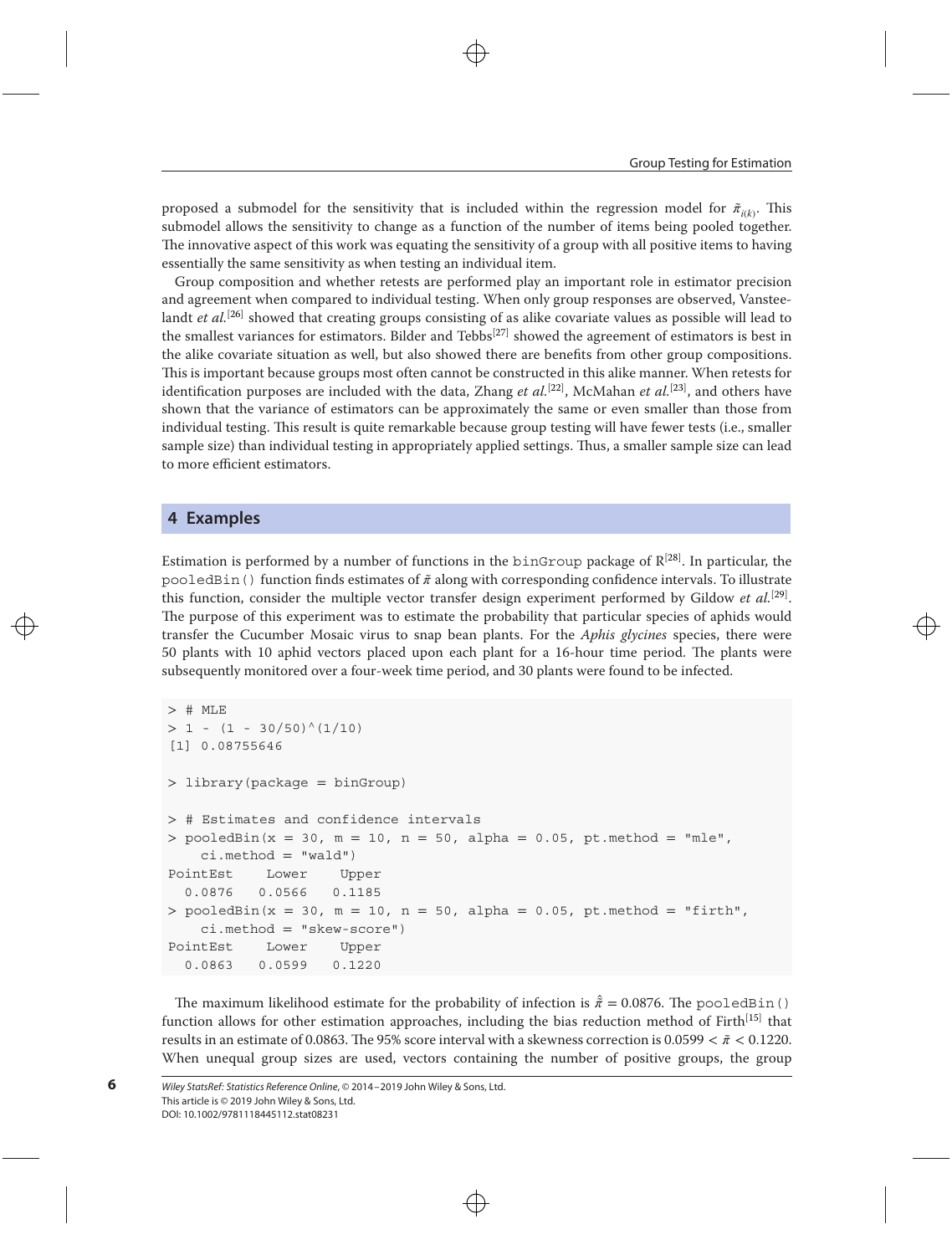proposed a submodel for the sensitivity that is included within the regression model for  $\tilde{\pi}_{i(k)}$ . This submodel allows the sensitivity to change as a function of the number of items being pooled together. The innovative aspect of this work was equating the sensitivity of a group with all positive items to having essentially the same sensitivity as when testing an individual item.

Group composition and whether retests are performed play an important role in estimator precision and agreement when compared to individual testing. When only group responses are observed, Vansteelandt *et al.*<sup>[\[26\]](#page-9-0)</sup> showed that creating groups consisting of as alike covariate values as possible will lead to the smallest variances for estimators. Bilder and Tebbs<sup>[\[27\]](#page-9-0)</sup> showed the agreement of estimators is best in the alike covariate situation as well, but also showed there are benefits from other group compositions. This is important because groups most often cannot be constructed in this alike manner. When retests for identification purposes are included with the data, Zhang *et al.*<sup>[\[22\]](#page-9-0)</sup>, McMahan *et al.*<sup>[\[23\]](#page-9-0)</sup>, and others have shown that the variance of estimators can be approximately the same or even smaller than those from individual testing. This result is quite remarkable because group testing will have fewer tests (i.e., smaller sample size) than individual testing in appropriately applied settings. Thus, a smaller sample size can lead to more efficient estimators.

#### <span id="page-5-0"></span>**4 Examples**

Estimation is performed by a number of functions in the <code>binGroup</code> package of  $\mathbb{R}^{[28]}$  $\mathbb{R}^{[28]}$  $\mathbb{R}^{[28]}$ . In particular, the pooledBin() function finds estimates of *̃* along with corresponding confidence intervals. To illustrate this function, consider the multiple vector transfer design experiment performed by Gildow *et al.*[\[29\]](#page-9-0) . The purpose of this experiment was to estimate the probability that particular species of aphids would transfer the Cucumber Mosaic virus to snap bean plants. For the *Aphis glycines* species, there were 50 plants with 10 aphid vectors placed upon each plant for a 16-hour time period. The plants were subsequently monitored over a four-week time period, and 30 plants were found to be infected.

```
> # MLE
> 1 - (1 - 30/50)^{(1/10)}[1] 0.08755646
> library(package = binGroup)
> # Estimates and confidence intervals
> pooledBin(x = 30, m = 10, n = 50, alpha = 0.05, pt.method = "mle",
   ci. method = "wald")
PointEst Lower Upper
  0.0876 0.0566 0.1185
> pooledBin(x = 30, m = 10, n = 50, alpha = 0.05, pt.method = "firth",
   ci.method = "skew-score")
PointEst Lower Upper
 0.0863 0.0599 0.1220
```
The maximum likelihood estimate for the probability of infection is  $\hat{\pi} = 0.0876$ . The pooledBin() function allows for other estimation approaches, including the bias reduction method of Firth<sup>[\[15\]](#page-9-0)</sup> that results in an estimate of 0.0863. The 95% score interval with a skewness correction is 0*.*0599 *< ̃ <* 0*.*1220. When unequal group sizes are used, vectors containing the number of positive groups, the group

```
Wiley StatsRef: Statistics Reference Online, © 2014–2019 John Wiley & Sons, Ltd.
This article is © 2019 John Wiley & Sons, Ltd.
DOI: 10.1002/9781118445112.stat08231
```
**6**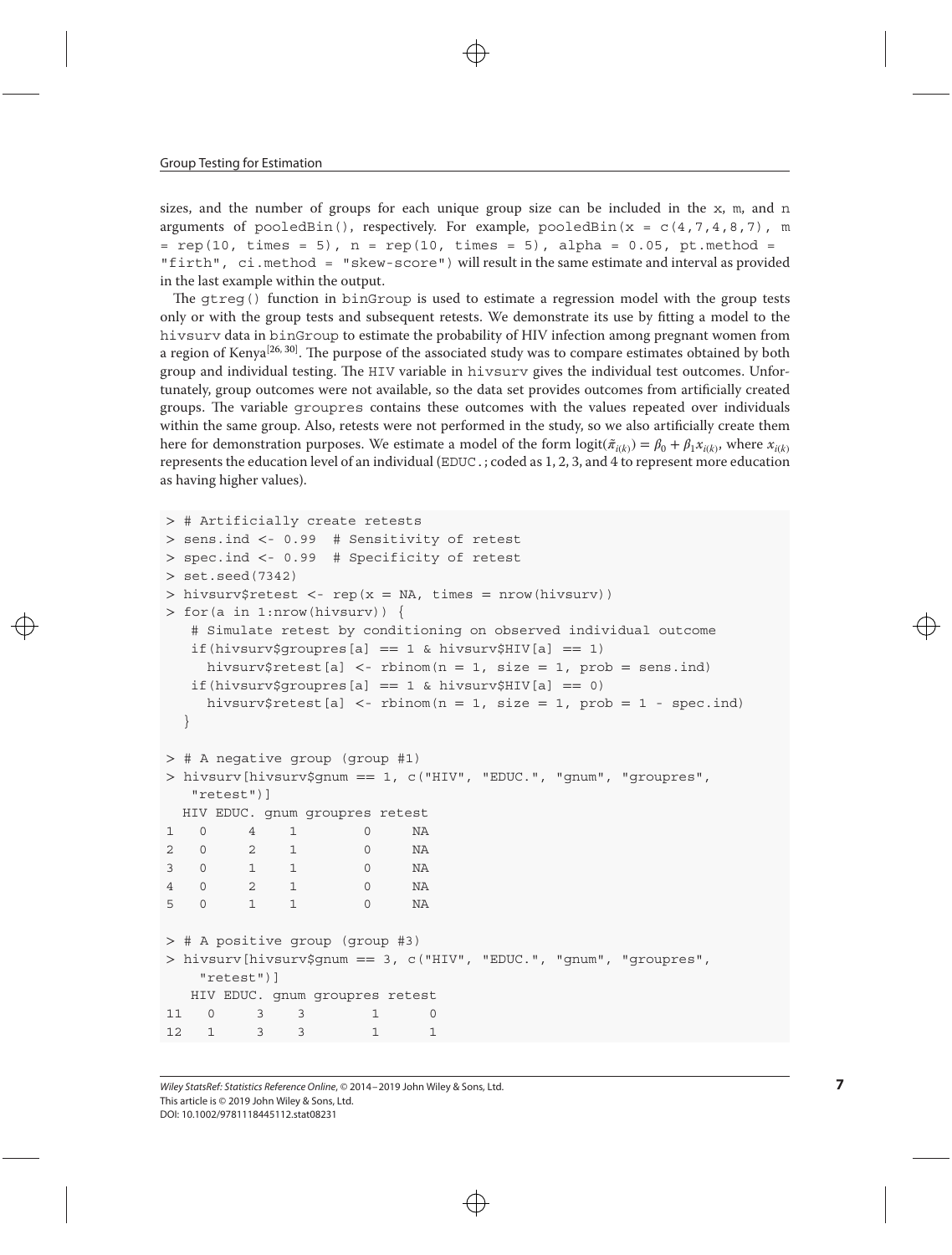sizes, and the number of groups for each unique group size can be included in the  $x$ ,  $m$ , and n arguments of pooledBin(), respectively. For example, pooledBin( $x = c(4, 7, 4, 8, 7)$ , m  $=$  rep(10, times = 5), n = rep(10, times = 5), alpha = 0.05, pt.method = "firth", ci.method = "skew-score") will result in the same estimate and interval as provided in the last example within the output.

The gtreg() function in binGroup is used to estimate a regression model with the group tests only or with the group tests and subsequent retests. We demonstrate its use by fitting a model to the hivsurv data in binGroup to estimate the probability of HIV infection among pregnant women from a region of Kenya<sup>[\[26,](#page-9-0) [30\]](#page-9-0)</sup>. The purpose of the associated study was to compare estimates obtained by both group and individual testing. The HIV variable in hivsurv gives the individual test outcomes. Unfortunately, group outcomes were not available, so the data set provides outcomes from artificially created groups. The variable groupres contains these outcomes with the values repeated over individuals within the same group. Also, retests were not performed in the study, so we also artificially create them here for demonstration purposes. We estimate a model of the form  $logit(\tilde{\pi}_{i(k)}) = \beta_0 + \beta_1 x_{i(k)}$ , where  $x_{i(k)}$ represents the education level of an individual (EDUC.; coded as 1, 2, 3, and 4 to represent more education as having higher values).

```
> # Artificially create retests
> sens.ind <- 0.99 # Sensitivity of retest
> spec.ind <- 0.99 # Specificity of retest
> set.seed(7342)
> hivsurv$retest <- rep(x = NA, times = nrow(hivsurv))
> for(a in 1:nrow(hivsurv)) {
  # Simulate retest by conditioning on observed individual outcome
  if(hivsurv$groupres[a] == 1 & hivsurv$HIV[a] == 1)
    hivsurv$retest[a] <- rbinom(n = 1, size = 1, prob = sens.ind)
  if(hivsurv$groupres[a] == 1 & hivsurv$HIV[a] == 0)
    hivsurv$retest[a] <- rbinom(n = 1, size = 1, prob = 1 - spec.ind)
  }
> # A negative group (group #1)
> hivsurv[hivsurv$gnum == 1, c("HIV", "EDUC.", "gnum", "groupres",
  "retest")]
 HIV EDUC. gnum groupres retest
1 0 4 1 0 NA
2 0 2 1 0 NA
3 0 1 1 0 NA
4 0 2 1 0 NA
5 0 1 1 0 NA
> # A positive group (group #3)
> hivsurv[hivsurv$gnum == 3, c("HIV", "EDUC.", "gnum", "groupres",
   "retest")]
  HIV EDUC. gnum groupres retest
11 0 3 3 1 0
12 1 3 3 1 1
```
Wiley StatsRef: Statistics Reference Online, © 2014–2019 John Wiley & Sons, Ltd. This article is © 2019 John Wiley & Sons, Ltd. DOI: 10.1002/9781118445112.stat08231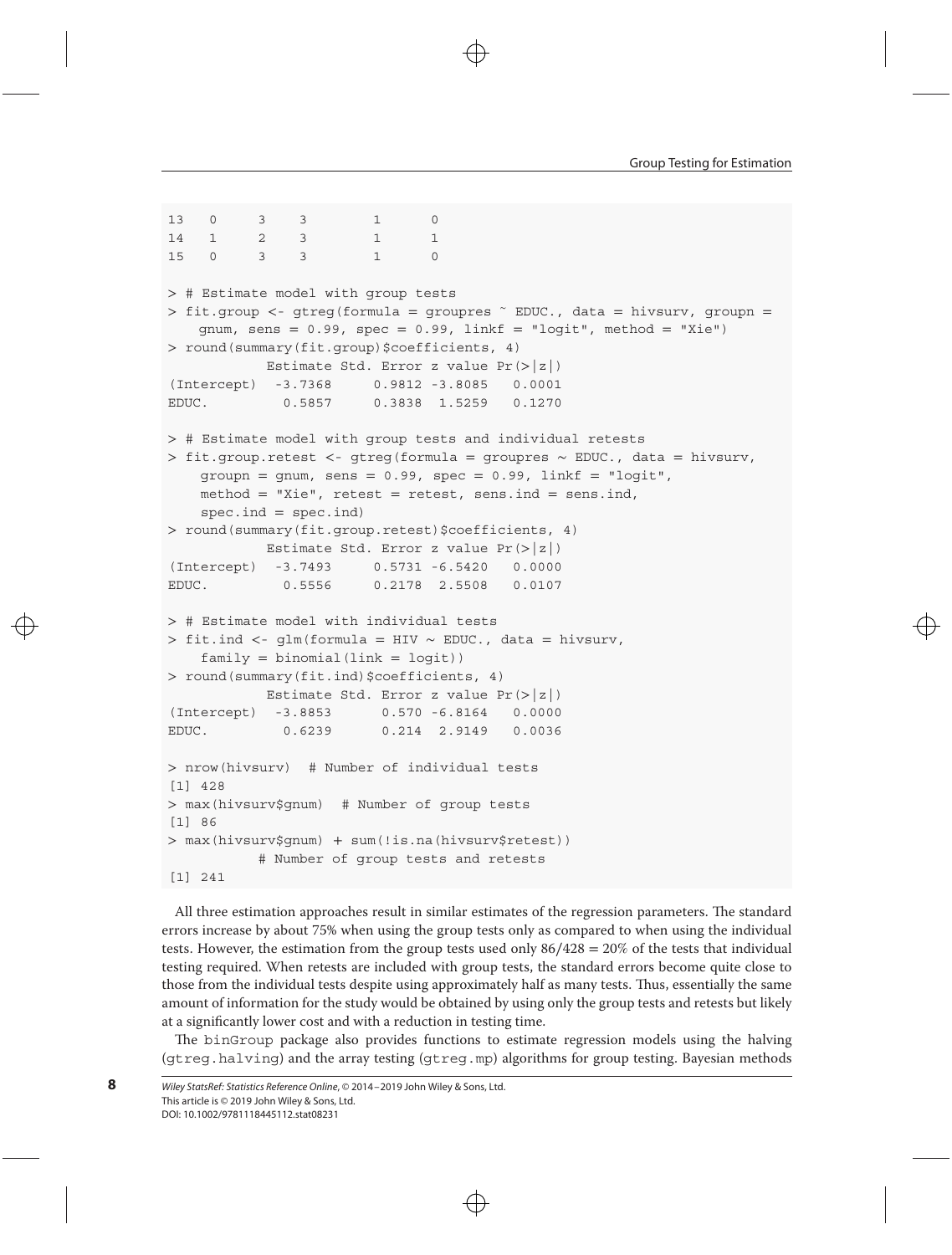```
13 0 3 3 1 0
14 1 2 3 1 1
15 0 3 3 1 0
> # Estimate model with group tests
> fit.group <- gtreg(formula = groupres ∼ EDUC., data = hivsurv, groupn =
   gnum, sens = 0.99, spec = 0.99, linkf = "logit", method = "Xie")> round(summary(fit.group)$coefficients, 4)
          Estimate Std. Error z value Pr(>|z|)
(Intercept) -3.7368 0.9812 -3.8085 0.0001
EDUC. 0.5857 0.3838 1.5259 0.1270
> # Estimate model with group tests and individual retests
> fit.group.retest <- gtreg(formula = groupres ∼ EDUC., data = hivsurv,
   group = qnum, sens = 0.99, spec = 0.99, linkf = "logit",method = "Xie", retest = retest, sens.ind = sens.ind,
   spec.ind = spec.ind)> round(summary(fit.group.retest)$coefficients, 4)
          Estimate Std. Error z value Pr(>|z|)
(Intercept) -3.7493 0.5731 -6.5420 0.0000
EDUC. 0.5556 0.2178 2.5508 0.0107
> # Estimate model with individual tests
> fit.ind <- glm(formula = HIV ∼ EDUC., data = hivsurv,
   family = binomial (link = logit))
> round(summary(fit.ind)$coefficients, 4)
          Estimate Std. Error z value Pr(>|z|)
(Intercept) -3.8853 0.570 -6.8164 0.0000
EDUC. 0.6239 0.214 2.9149 0.0036
> nrow(hivsurv) # Number of individual tests
[1] 428
> max(hivsurv$gnum) # Number of group tests
[1] 86
> max(hivsurv$gnum) + sum(!is.na(hivsurv$retest))
          # Number of group tests and retests
[1] 241
```
All three estimation approaches result in similar estimates of the regression parameters. The standard errors increase by about 75% when using the group tests only as compared to when using the individual tests. However, the estimation from the group tests used only  $86/428 = 20\%$  of the tests that individual testing required. When retests are included with group tests, the standard errors become quite close to those from the individual tests despite using approximately half as many tests. Thus, essentially the same amount of information for the study would be obtained by using only the group tests and retests but likely at a significantly lower cost and with a reduction in testing time.

The binGroup package also provides functions to estimate regression models using the halving (gtreg.halving) and the array testing (gtreg.mp) algorithms for group testing. Bayesian methods

```
Wiley StatsRef: Statistics Reference Online, © 2014–2019 John Wiley & Sons, Ltd.
This article is © 2019 John Wiley & Sons, Ltd.
DOI: 10.1002/9781118445112.stat08231
```
**8**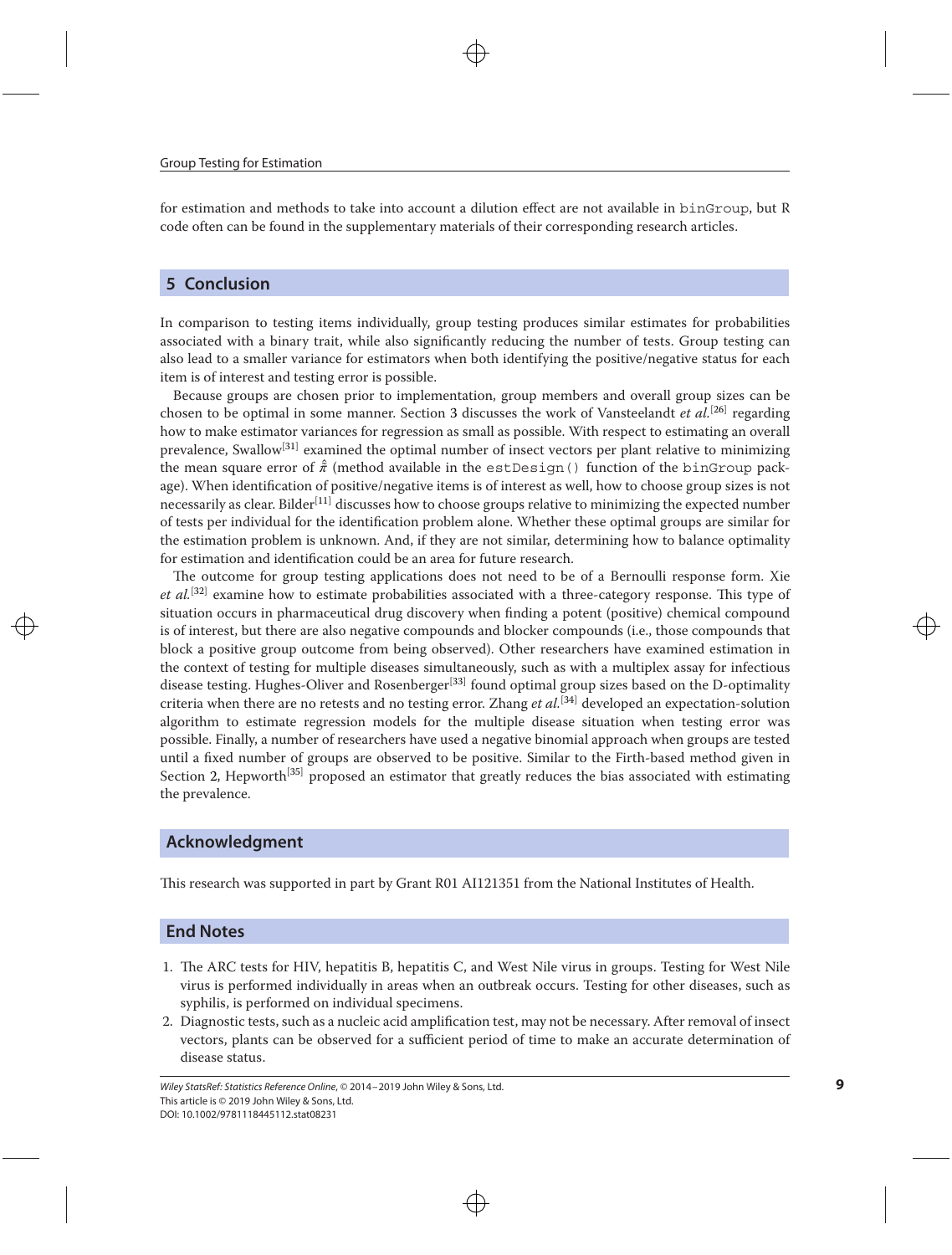for estimation and methods to take into account a dilution effect are not available in binGroup, but R code often can be found in the supplementary materials of their corresponding research articles.

### <span id="page-8-0"></span>**5 Conclusion**

In comparison to testing items individually, group testing produces similar estimates for probabilities associated with a binary trait, while also significantly reducing the number of tests. Group testing can also lead to a smaller variance for estimators when both identifying the positive/negative status for each item is of interest and testing error is possible.

Because groups are chosen prior to implementation, group members and overall group sizes can be chosen to be optimal in some manner. Section [3](#page-3-0) discusses the work of Vansteelandt *et al.*[\[26\]](#page-9-0) regarding how to make estimator variances for regression as small as possible. With respect to estimating an overall prevalence, Swallow<sup>[\[31\]](#page-9-0)</sup> examined the optimal number of insect vectors per plant relative to minimizing the mean square error of  $\hat{\pi}$  (method available in the est Design() function of the binGroup package). When identification of positive/negative items is of interest as well, how to choose group sizes is not necessarily as clear. Bilder<sup>[\[11\]](#page-9-0)</sup> discusses how to choose groups relative to minimizing the expected number of tests per individual for the identification problem alone. Whether these optimal groups are similar for the estimation problem is unknown. And, if they are not similar, determining how to balance optimality for estimation and identification could be an area for future research.

The outcome for group testing applications does not need to be of a Bernoulli response form. Xie *et al.*[\[32\]](#page-9-0) examine how to estimate probabilities associated with a three-category response. This type of situation occurs in pharmaceutical drug discovery when finding a potent (positive) chemical compound is of interest, but there are also negative compounds and blocker compounds (i.e., those compounds that block a positive group outcome from being observed). Other researchers have examined estimation in the context of testing for multiple diseases simultaneously, such as with a multiplex assay for infectious disease testing. Hughes-Oliver and Rosenberger<sup>[\[33\]](#page-9-0)</sup> found optimal group sizes based on the D-optimality criteria when there are no retests and no testing error. Zhang *et al.*[\[34\]](#page-9-0) developed an expectation-solution algorithm to estimate regression models for the multiple disease situation when testing error was possible. Finally, a number of researchers have used a negative binomial approach when groups are tested until a fixed number of groups are observed to be positive. Similar to the Firth-based method given in Section [2,](#page-1-0) Hepworth<sup>[\[35\]](#page-9-0)</sup> proposed an estimator that greatly reduces the bias associated with estimating the prevalence.

#### **Acknowledgment**

This research was supported in part by Grant R01 AI121351 from the National Institutes of Health.

#### **End Notes**

- 1. The ARC tests for HIV, hepatitis B, hepatitis C, and West Nile virus in groups. Testing for West Nile virus is performed individually in areas when an outbreak occurs. Testing for other diseases, such as syphilis, is performed on individual specimens.
- 2. Diagnostic tests, such as a nucleic acid amplification test, may not be necessary. After removal of insect vectors, plants can be observed for a sufficient period of time to make an accurate determination of disease status.

Wiley StatsRef: Statistics Reference Online, © 2014–2019 John Wiley & Sons, Ltd. This article is © 2019 John Wiley & Sons, Ltd. DOI: 10.1002/9781118445112.stat08231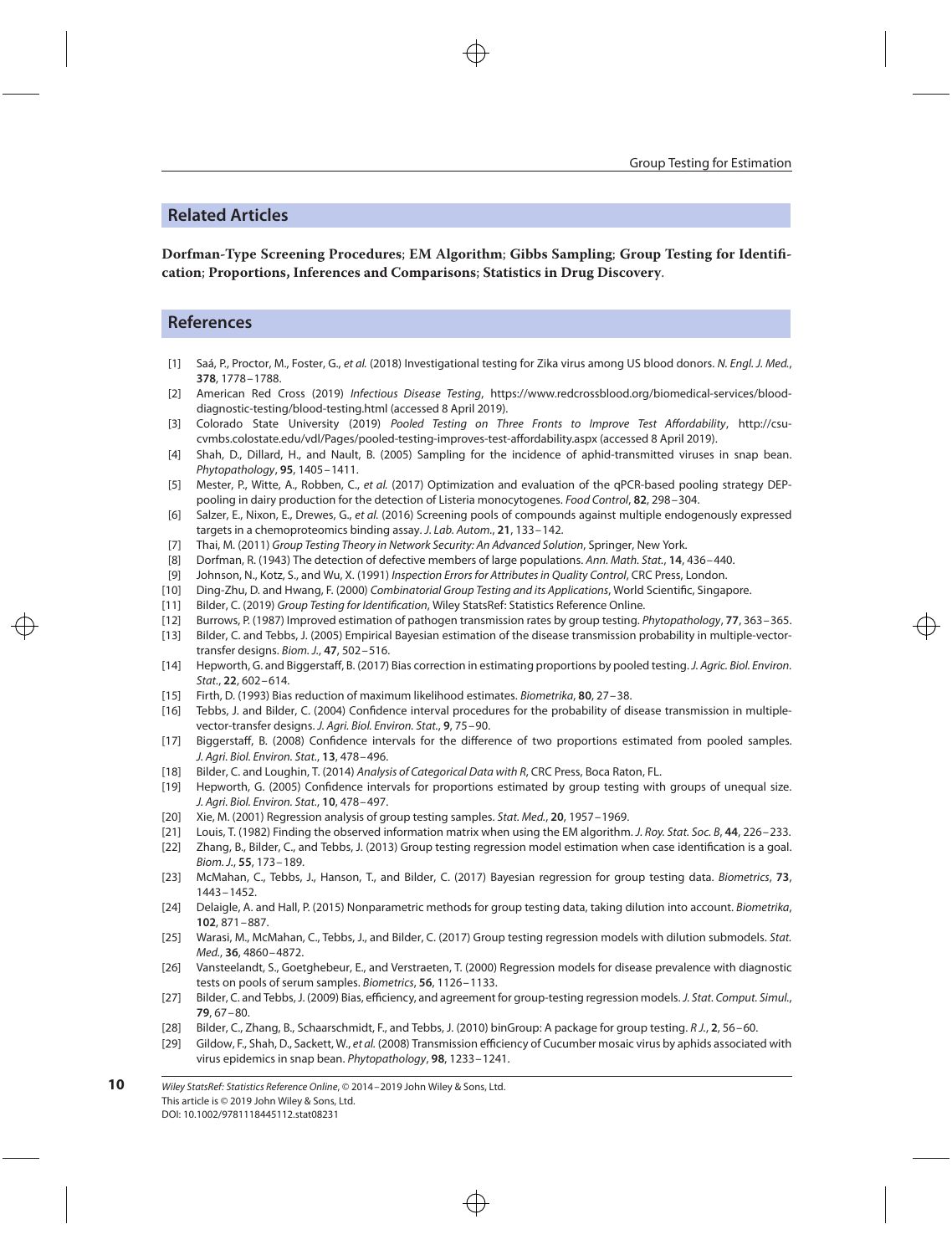# **Related Articles**

**Dorfman-Type Screening Procedures**; **EM Algorithm**; **Gibbs Sampling**; **Group Testing for Identification**; **Proportions, Inferences and Comparisons**; **Statistics in Drug Discovery**.

## **References**

- <span id="page-9-0"></span>[1] Saá, P., Proctor, M., Foster, G., et al. (2018) Investigational testing for Zika virus among US blood donors. N. Engl. J. Med., **378**, 1778–1788.
- [2] American Red Cross (2019) Infectious Disease Testing, https://www.redcrossblood.org/biomedical-services/blooddiagnostic-testing/blood-testing.html (accessed 8 April 2019).
- [3] Colorado State University (2019) Pooled Testing on Three Fronts to Improve Test Affordability, http://csucvmbs.colostate.edu/vdl/Pages/pooled-testing-improves-test-affordability.aspx (accessed 8 April 2019).
- [4] Shah, D., Dillard, H., and Nault, B. (2005) Sampling for the incidence of aphid-transmitted viruses in snap bean. Phytopathology, **95**, 1405–1411.
- [5] Mester, P., Witte, A., Robben, C., et al. (2017) Optimization and evaluation of the qPCR-based pooling strategy DEPpooling in dairy production for the detection of Listeria monocytogenes. Food Control, **82**, 298–304.
- [6] Salzer, E., Nixon, E., Drewes, G., et al. (2016) Screening pools of compounds against multiple endogenously expressed targets in a chemoproteomics binding assay. J. Lab. Autom., **21**, 133–142.
- [7] Thai, M. (2011) Group Testing Theory in Network Security: An Advanced Solution, Springer, New York.
- [8] Dorfman, R. (1943) The detection of defective members of large populations. Ann. Math. Stat., **14**, 436–440.
- [9] Johnson, N., Kotz, S., and Wu, X. (1991) Inspection Errors for Attributes in Quality Control, CRC Press, London.
- [10] Ding-Zhu, D. and Hwang, F. (2000) Combinatorial Group Testing and its Applications, World Scientific, Singapore.
- [11] Bilder, C. (2019) Group Testing for Identification, Wiley StatsRef: Statistics Reference Online.
- [12] Burrows, P. (1987) Improved estimation of pathogen transmission rates by group testing. Phytopathology, **77**, 363–365.
- [13] Bilder, C. and Tebbs, J. (2005) Empirical Bayesian estimation of the disease transmission probability in multiple-vectortransfer designs. Biom. J., **47**, 502–516.
- [14] Hepworth, G. and Biggerstaff, B. (2017) Bias correction in estimating proportions by pooled testing. J. Agric. Biol. Environ. Stat., **22**, 602–614.
- [15] Firth, D. (1993) Bias reduction of maximum likelihood estimates. Biometrika, **80**, 27–38.
- [16] Tebbs, J. and Bilder, C. (2004) Confidence interval procedures for the probability of disease transmission in multiplevector-transfer designs. J. Agri. Biol. Environ. Stat., **9**, 75–90.
- [17] Biggerstaff, B. (2008) Confidence intervals for the difference of two proportions estimated from pooled samples. J. Agri. Biol. Environ. Stat., **13**, 478–496.
- [18] Bilder, C. and Loughin, T. (2014) Analysis of Categorical Data with R, CRC Press, Boca Raton, FL.
- [19] Hepworth, G. (2005) Confidence intervals for proportions estimated by group testing with groups of unequal size. J. Agri. Biol. Environ. Stat., **10**, 478–497.
- [20] Xie, M. (2001) Regression analysis of group testing samples. Stat. Med., **20**, 1957–1969.
- [21] Louis, T. (1982) Finding the observed information matrix when using the EM algorithm. J. Roy. Stat. Soc. B, **44**, 226–233. [22] Zhang, B., Bilder, C., and Tebbs, J. (2013) Group testing regression model estimation when case identification is a goal.
- Biom. J., **55**, 173–189.
- [23] McMahan, C., Tebbs, J., Hanson, T., and Bilder, C. (2017) Bayesian regression for group testing data. Biometrics, **73**, 1443–1452.
- [24] Delaigle, A. and Hall, P. (2015) Nonparametric methods for group testing data, taking dilution into account. Biometrika, **102**, 871–887.
- [25] Warasi, M., McMahan, C., Tebbs, J., and Bilder, C. (2017) Group testing regression models with dilution submodels. Stat. Med., **36**, 4860–4872.
- [26] Vansteelandt, S., Goetghebeur, E., and Verstraeten, T. (2000) Regression models for disease prevalence with diagnostic tests on pools of serum samples. Biometrics, **56**, 1126–1133.
- [27] Bilder, C. and Tebbs, J. (2009) Bias, efficiency, and agreement for group-testing regression models. J. Stat. Comput. Simul., **79**, 67–80.
- [28] Bilder, C., Zhang, B., Schaarschmidt, F., and Tebbs, J. (2010) binGroup: A package for group testing. R J., **2**, 56–60.
- [29] Gildow, F., Shah, D., Sackett, W., et al. (2008) Transmission efficiency of Cucumber mosaic virus by aphids associated with virus epidemics in snap bean. Phytopathology, **98**, 1233–1241.

Wiley StatsRef: Statistics Reference Online, © 2014–2019 John Wiley & Sons, Ltd. This article is © 2019 John Wiley & Sons, Ltd. DOI: 10.1002/9781118445112.stat08231 **10**